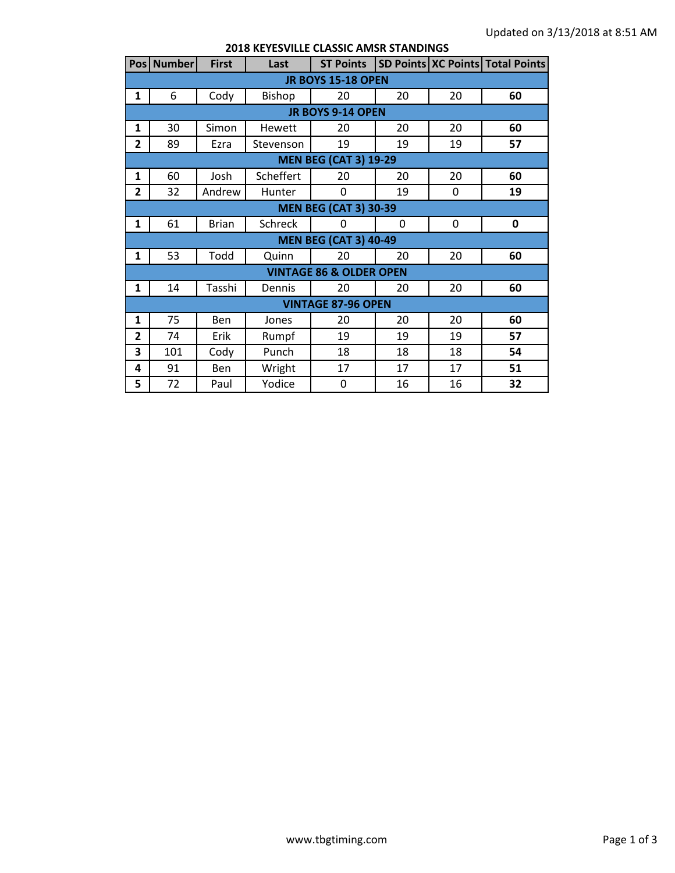|                                    | Pos Number                   | <b>First</b> | Last      |    |    |             | ST Points   SD Points   XC Points   Total Points |  |  |
|------------------------------------|------------------------------|--------------|-----------|----|----|-------------|--------------------------------------------------|--|--|
| <b>JR BOYS 15-18 OPEN</b>          |                              |              |           |    |    |             |                                                  |  |  |
| 1                                  | 6                            | Cody         | Bishop    | 20 | 20 | 20          | 60                                               |  |  |
|                                    | JR BOYS 9-14 OPEN            |              |           |    |    |             |                                                  |  |  |
| 1                                  | 30                           | Simon        | Hewett    | 20 | 20 | 20          | 60                                               |  |  |
| $\overline{2}$                     | 89                           | Ezra         | Stevenson | 19 | 19 | 19          | 57                                               |  |  |
| <b>MEN BEG (CAT 3) 19-29</b>       |                              |              |           |    |    |             |                                                  |  |  |
| $\mathbf{1}$                       | 60                           | Josh         | Scheffert | 20 | 20 | 20          | 60                                               |  |  |
| $\overline{2}$                     | 32                           | Andrew       | Hunter    | 0  | 19 | 0           | 19                                               |  |  |
|                                    | <b>MEN BEG (CAT 3) 30-39</b> |              |           |    |    |             |                                                  |  |  |
| $\mathbf{1}$                       | 61                           | <b>Brian</b> | Schreck   | 0  | 0  | $\mathbf 0$ | 0                                                |  |  |
|                                    | <b>MEN BEG (CAT 3) 40-49</b> |              |           |    |    |             |                                                  |  |  |
| $\mathbf{1}$                       | 53                           | Todd         | Quinn     | 20 | 20 | 20          | 60                                               |  |  |
| <b>VINTAGE 86 &amp; OLDER OPEN</b> |                              |              |           |    |    |             |                                                  |  |  |
| $\mathbf{1}$                       | 14                           | Tasshi       | Dennis    | 20 | 20 | 20          | 60                                               |  |  |
| <b>VINTAGE 87-96 OPEN</b>          |                              |              |           |    |    |             |                                                  |  |  |
| $\mathbf{1}$                       | 75                           | <b>Ben</b>   | Jones     | 20 | 20 | 20          | 60                                               |  |  |
| $\overline{2}$                     | 74                           | Erik         | Rumpf     | 19 | 19 | 19          | 57                                               |  |  |
| 3                                  | 101                          | Cody         | Punch     | 18 | 18 | 18          | 54                                               |  |  |
| 4                                  | 91                           | Ben          | Wright    | 17 | 17 | 17          | 51                                               |  |  |
| 5                                  | 72                           | Paul         | Yodice    | 0  | 16 | 16          | 32                                               |  |  |

## **2018 KEYESVILLE CLASSIC AMSR STANDINGS**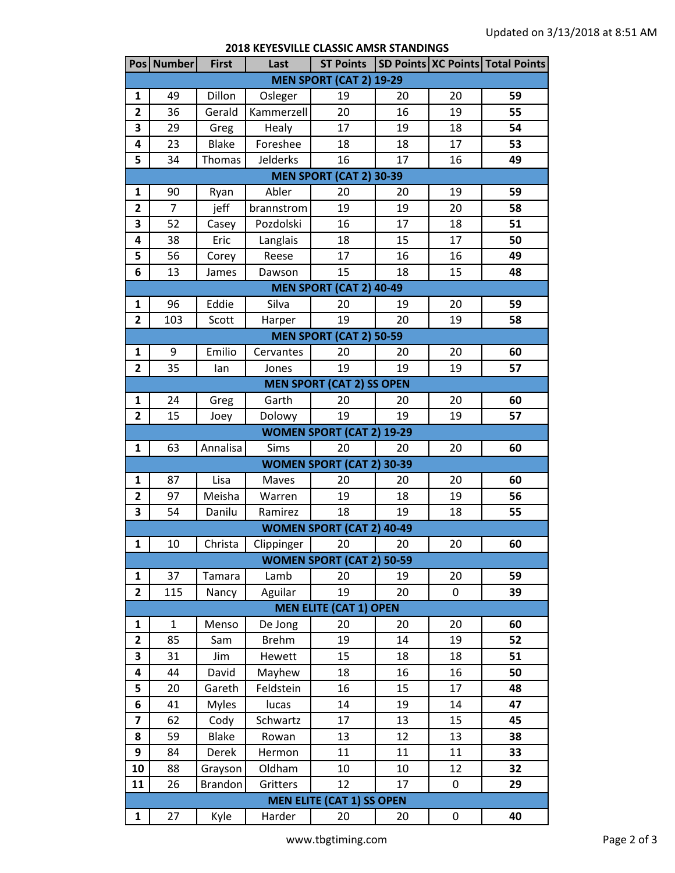| <b>2018 KEYESVILLE CLASSIC AMSR STANDINGS</b> |  |  |
|-----------------------------------------------|--|--|
|-----------------------------------------------|--|--|

|                                  | Pos Number   | <b>First</b>   | Last            | <b>ST Points</b>                 |    |    | SD Points   XC Points   Total Points |  |  |
|----------------------------------|--------------|----------------|-----------------|----------------------------------|----|----|--------------------------------------|--|--|
| <b>MEN SPORT (CAT 2) 19-29</b>   |              |                |                 |                                  |    |    |                                      |  |  |
| 1                                | 49           | Dillon         | Osleger         | 19                               | 20 | 20 | 59                                   |  |  |
| $\overline{\mathbf{2}}$          | 36           | Gerald         | Kammerzell      | 20                               | 16 | 19 | 55                                   |  |  |
| 3                                | 29           | Greg           | Healy           | 17                               | 19 | 18 | 54                                   |  |  |
| 4                                | 23           | <b>Blake</b>   | Foreshee        | 18                               | 18 | 17 | 53                                   |  |  |
| 5                                | 34           | Thomas         | <b>Jelderks</b> | 16                               | 17 | 16 | 49                                   |  |  |
| <b>MEN SPORT (CAT 2) 30-39</b>   |              |                |                 |                                  |    |    |                                      |  |  |
| $\mathbf{1}$                     | 90           | Ryan           | Abler           | 20                               | 20 | 19 | 59                                   |  |  |
| $\overline{2}$                   | 7            | jeff           | brannstrom      | 19                               | 19 | 20 | 58                                   |  |  |
| 3                                | 52           | Casey          | Pozdolski       | 16                               | 17 | 18 | 51                                   |  |  |
| 4                                | 38           | Eric           | Langlais        | 18                               | 15 | 17 | 50                                   |  |  |
| 5                                | 56           | Corey          | Reese           | 17                               | 16 | 16 | 49                                   |  |  |
| 6                                | 13           | James          | Dawson          | 15                               | 18 | 15 | 48                                   |  |  |
| <b>MEN SPORT (CAT 2) 40-49</b>   |              |                |                 |                                  |    |    |                                      |  |  |
| $\mathbf{1}$                     | 96           | Eddie          | Silva           | 20                               | 19 | 20 | 59                                   |  |  |
| $\overline{2}$                   | 103          | Scott          | Harper          | 19                               | 20 | 19 | 58                                   |  |  |
|                                  |              |                |                 | <b>MEN SPORT (CAT 2) 50-59</b>   |    |    |                                      |  |  |
| $\mathbf{1}$                     | 9            | Emilio         | Cervantes       | 20                               | 20 | 20 | 60                                   |  |  |
| $\overline{2}$                   | 35           | lan            | Jones           | 19                               | 19 | 19 | 57                                   |  |  |
|                                  |              |                |                 | <b>MEN SPORT (CAT 2) SS OPEN</b> |    |    |                                      |  |  |
| 1                                | 24           | Greg           | Garth           | 20                               | 20 | 20 | 60                                   |  |  |
| $\overline{2}$                   | 15           | Joey           | Dolowy          | 19                               | 19 | 19 | 57                                   |  |  |
|                                  |              |                |                 | <b>WOMEN SPORT (CAT 2) 19-29</b> |    |    |                                      |  |  |
| 1                                | 63           | Annalisa       | Sims            | 20                               | 20 | 20 | 60                                   |  |  |
|                                  |              |                |                 | <b>WOMEN SPORT (CAT 2) 30-39</b> |    |    |                                      |  |  |
| 1                                | 87           | Lisa           | Maves           | 20                               | 20 | 20 | 60                                   |  |  |
| $\overline{2}$                   | 97           | Meisha         | Warren          | 19                               | 18 | 19 | 56                                   |  |  |
| 3                                | 54           | Danilu         | Ramirez         | 18                               | 19 | 18 | 55                                   |  |  |
|                                  |              |                |                 | <b>WOMEN SPORT (CAT 2) 40-49</b> |    |    |                                      |  |  |
| 1                                | 10           | Christa        | Clippinger      | 20                               | 20 | 20 | 60                                   |  |  |
|                                  |              |                |                 | <b>WOMEN SPORT (CAT 2) 50-59</b> |    |    |                                      |  |  |
| $\mathbf{1}$                     | 37           | Tamara         | Lamb            | 20                               | 19 | 20 | 59                                   |  |  |
| $\overline{2}$                   | 115          | Nancy          | Aguilar         | 19                               | 20 | 0  | 39                                   |  |  |
|                                  |              |                |                 | <b>MEN ELITE (CAT 1) OPEN</b>    |    |    |                                      |  |  |
| 1                                | $\mathbf{1}$ | Menso          | De Jong         | 20                               | 20 | 20 | 60                                   |  |  |
| $\overline{2}$                   | 85           | Sam            | <b>Brehm</b>    | 19                               | 14 | 19 | 52                                   |  |  |
| 3                                | 31           | Jim            | Hewett          | 15                               | 18 | 18 | 51                                   |  |  |
| 4                                | 44           | David          | Mayhew          | 18                               | 16 | 16 | 50                                   |  |  |
| 5                                | 20           | Gareth         | Feldstein       | 16                               | 15 | 17 | 48                                   |  |  |
| 6                                | 41           | <b>Myles</b>   | lucas           | 14                               | 19 | 14 | 47                                   |  |  |
| $\overline{\mathbf{z}}$          | 62           | Cody           | Schwartz        | 17                               | 13 | 15 | 45                                   |  |  |
| 8                                | 59           | <b>Blake</b>   | Rowan           | 13                               | 12 | 13 | 38                                   |  |  |
| 9                                | 84           | Derek          | Hermon          | 11                               | 11 | 11 | 33                                   |  |  |
| 10                               | 88           | Grayson        | Oldham          | 10                               | 10 | 12 | 32                                   |  |  |
| 11                               | 26           | <b>Brandon</b> | Gritters        | 12                               | 17 | 0  | 29                                   |  |  |
| <b>MEN ELITE (CAT 1) SS OPEN</b> |              |                |                 |                                  |    |    |                                      |  |  |
| 1                                | 27           | Kyle           | Harder          | 20                               | 20 | 0  | 40                                   |  |  |